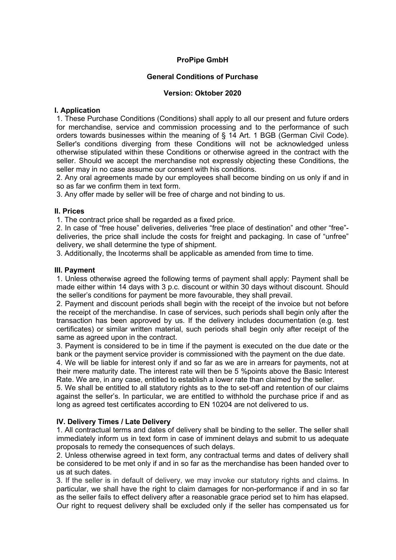# **ProPipe GmbH**

## **General Conditions of Purchase**

## **Version: Oktober 2020**

## **I. Application**

1. These Purchase Conditions (Conditions) shall apply to all our present and future orders for merchandise, service and commission processing and to the performance of such orders towards businesses within the meaning of § 14 Art. 1 BGB (German Civil Code). Seller's conditions diverging from these Conditions will not be acknowledged unless otherwise stipulated within these Conditions or otherwise agreed in the contract with the seller. Should we accept the merchandise not expressly objecting these Conditions, the seller may in no case assume our consent with his conditions.

2. Any oral agreements made by our employees shall become binding on us only if and in so as far we confirm them in text form.

3. Any offer made by seller will be free of charge and not binding to us.

## **II. Prices**

1. The contract price shall be regarded as a fixed price.

2. In case of "free house" deliveries, deliveries "free place of destination" and other "free" deliveries, the price shall include the costs for freight and packaging. In case of "unfree" delivery, we shall determine the type of shipment.

3. Additionally, the Incoterms shall be applicable as amended from time to time.

## **III. Payment**

1. Unless otherwise agreed the following terms of payment shall apply: Payment shall be made either within 14 days with 3 p.c. discount or within 30 days without discount. Should the seller's conditions for payment be more favourable, they shall prevail.

2. Payment and discount periods shall begin with the receipt of the invoice but not before the receipt of the merchandise. In case of services, such periods shall begin only after the transaction has been approved by us. If the delivery includes documentation (e.g. test certificates) or similar written material, such periods shall begin only after receipt of the same as agreed upon in the contract.

3. Payment is considered to be in time if the payment is executed on the due date or the bank or the payment service provider is commissioned with the payment on the due date.

4. We will be liable for interest only if and so far as we are in arrears for payments, not at their mere maturity date. The interest rate will then be 5 %points above the Basic Interest Rate. We are, in any case, entitled to establish a lower rate than claimed by the seller.

5. We shall be entitled to all statutory rights as to the to set-off and retention of our claims against the seller's. In particular, we are entitled to withhold the purchase price if and as long as agreed test certificates according to EN 10204 are not delivered to us.

## **IV. Delivery Times / Late Delivery**

1. All contractual terms and dates of delivery shall be binding to the seller. The seller shall immediately inform us in text form in case of imminent delays and submit to us adequate proposals to remedy the consequences of such delays.

2. Unless otherwise agreed in text form, any contractual terms and dates of delivery shall be considered to be met only if and in so far as the merchandise has been handed over to us at such dates.

3. If the seller is in default of delivery, we may invoke our statutory rights and claims. In particular, we shall have the right to claim damages for non-performance if and in so far as the seller fails to effect delivery after a reasonable grace period set to him has elapsed. Our right to request delivery shall be excluded only if the seller has compensated us for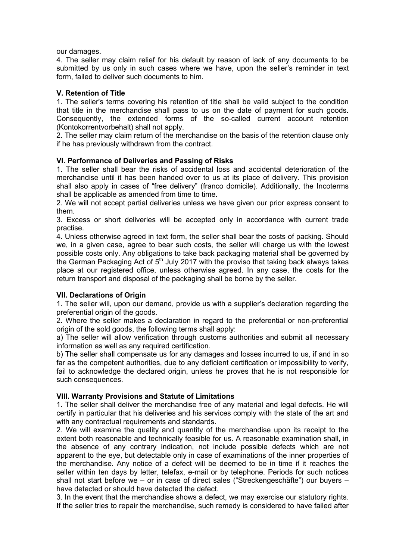our damages.

4. The seller may claim relief for his default by reason of lack of any documents to be submitted by us only in such cases where we have, upon the seller's reminder in text form, failed to deliver such documents to him.

## **V. Retention of Title**

1. The seller's terms covering his retention of title shall be valid subject to the condition that title in the merchandise shall pass to us on the date of payment for such goods. Consequently, the extended forms of the so-called current account retention (Kontokorrentvorbehalt) shall not apply.

2. The seller may claim return of the merchandise on the basis of the retention clause only if he has previously withdrawn from the contract.

## **VI. Performance of Deliveries and Passing of Risks**

1. The seller shall bear the risks of accidental loss and accidental deterioration of the merchandise until it has been handed over to us at its place of delivery. This provision shall also apply in cases of "free delivery" (franco domicile). Additionally, the Incoterms shall be applicable as amended from time to time.

2. We will not accept partial deliveries unless we have given our prior express consent to them.

3. Excess or short deliveries will be accepted only in accordance with current trade practise.

4. Unless otherwise agreed in text form, the seller shall bear the costs of packing. Should we, in a given case, agree to bear such costs, the seller will charge us with the lowest possible costs only. Any obligations to take back packaging material shall be governed by the German Packaging Act of  $5<sup>th</sup>$  July 2017 with the proviso that taking back always takes place at our registered office, unless otherwise agreed. In any case, the costs for the return transport and disposal of the packaging shall be borne by the seller.

#### **VII. Declarations of Origin**

1. The seller will, upon our demand, provide us with a supplier's declaration regarding the preferential origin of the goods.

2. Where the seller makes a declaration in regard to the preferential or non-preferential origin of the sold goods, the following terms shall apply:

a) The seller will allow verification through customs authorities and submit all necessary information as well as any required certification.

b) The seller shall compensate us for any damages and losses incurred to us, if and in so far as the competent authorities, due to any deficient certification or impossibility to verify, fail to acknowledge the declared origin, unless he proves that he is not responsible for such consequences.

#### **VIII. Warranty Provisions and Statute of Limitations**

1. The seller shall deliver the merchandise free of any material and legal defects. He will certify in particular that his deliveries and his services comply with the state of the art and with any contractual requirements and standards.

2. We will examine the quality and quantity of the merchandise upon its receipt to the extent both reasonable and technically feasible for us. A reasonable examination shall, in the absence of any contrary indication, not include possible defects which are not apparent to the eye, but detectable only in case of examinations of the inner properties of the merchandise. Any notice of a defect will be deemed to be in time if it reaches the seller within ten days by letter, telefax, e-mail or by telephone. Periods for such notices shall not start before we – or in case of direct sales ("Streckengeschäfte") our buyers – have detected or should have detected the defect.

3. In the event that the merchandise shows a defect, we may exercise our statutory rights. If the seller tries to repair the merchandise, such remedy is considered to have failed after